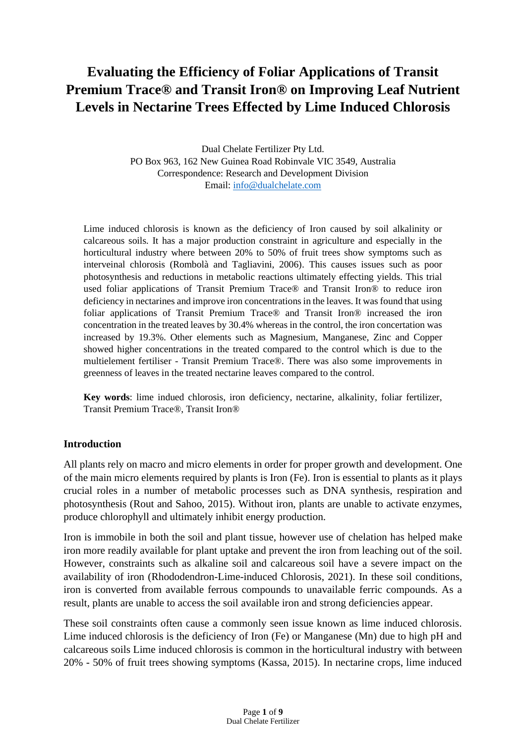# **Evaluating the Efficiency of Foliar Applications of Transit Premium Trace® and Transit Iron® on Improving Leaf Nutrient Levels in Nectarine Trees Effected by Lime Induced Chlorosis**

Dual Chelate Fertilizer Pty Ltd. PO Box 963, 162 New Guinea Road Robinvale VIC 3549, Australia Correspondence: Research and Development Division Email: [info@dualchelate.com](mailto:info@dualchelate.com)

Lime induced chlorosis is known as the deficiency of Iron caused by soil alkalinity or calcareous soils. It has a major production constraint in agriculture and especially in the horticultural industry where between 20% to 50% of fruit trees show symptoms such as interveinal chlorosis (Rombolà and Tagliavini, 2006). This causes issues such as poor photosynthesis and reductions in metabolic reactions ultimately effecting yields. This trial used foliar applications of Transit Premium Trace® and Transit Iron® to reduce iron deficiency in nectarines and improve iron concentrations in the leaves. It was found that using foliar applications of Transit Premium Trace® and Transit Iron® increased the iron concentration in the treated leaves by 30.4% whereas in the control, the iron concertation was increased by 19.3%. Other elements such as Magnesium, Manganese, Zinc and Copper showed higher concentrations in the treated compared to the control which is due to the multielement fertiliser - Transit Premium Trace®. There was also some improvements in greenness of leaves in the treated nectarine leaves compared to the control.

**Key words**: lime indued chlorosis, iron deficiency, nectarine, alkalinity, foliar fertilizer, Transit Premium Trace®, Transit Iron®

# **Introduction**

All plants rely on macro and micro elements in order for proper growth and development. One of the main micro elements required by plants is Iron (Fe). Iron is essential to plants as it plays crucial roles in a number of metabolic processes such as DNA synthesis, respiration and photosynthesis (Rout and Sahoo, 2015). Without iron, plants are unable to activate enzymes, produce chlorophyll and ultimately inhibit energy production.

Iron is immobile in both the soil and plant tissue, however use of chelation has helped make iron more readily available for plant uptake and prevent the iron from leaching out of the soil. However, constraints such as alkaline soil and calcareous soil have a severe impact on the availability of iron (Rhododendron-Lime-induced Chlorosis, 2021). In these soil conditions, iron is converted from available ferrous compounds to unavailable ferric compounds. As a result, plants are unable to access the soil available iron and strong deficiencies appear.

These soil constraints often cause a commonly seen issue known as lime induced chlorosis. Lime induced chlorosis is the deficiency of Iron (Fe) or Manganese (Mn) due to high pH and calcareous soils Lime induced chlorosis is common in the horticultural industry with between 20% - 50% of fruit trees showing symptoms (Kassa, 2015). In nectarine crops, lime induced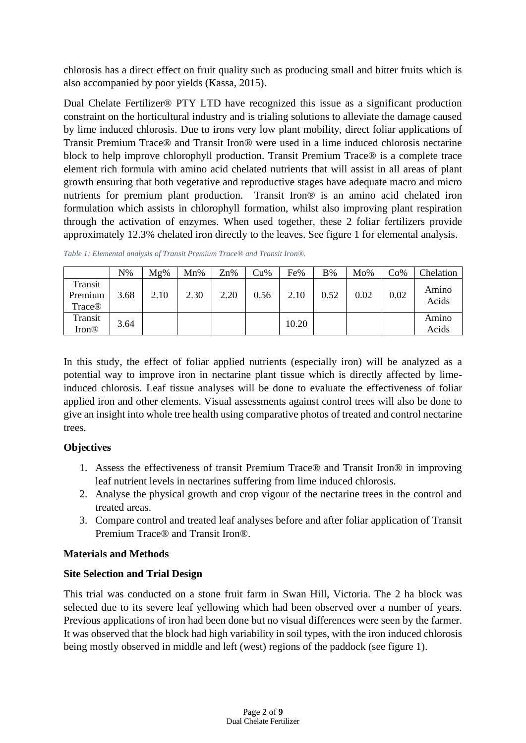chlorosis has a direct effect on fruit quality such as producing small and bitter fruits which is also accompanied by poor yields (Kassa, 2015).

Dual Chelate Fertilizer® PTY LTD have recognized this issue as a significant production constraint on the horticultural industry and is trialing solutions to alleviate the damage caused by lime induced chlorosis. Due to irons very low plant mobility, direct foliar applications of Transit Premium Trace® and Transit Iron® were used in a lime induced chlorosis nectarine block to help improve chlorophyll production. Transit Premium Trace® is a complete trace element rich formula with amino acid chelated nutrients that will assist in all areas of plant growth ensuring that both vegetative and reproductive stages have adequate macro and micro nutrients for premium plant production. Transit Iron® is an amino acid chelated iron formulation which assists in chlorophyll formation, whilst also improving plant respiration through the activation of enzymes. When used together, these 2 foliar fertilizers provide approximately 12.3% chelated iron directly to the leaves. See figure 1 for elemental analysis.

| Table 1: Elemental analysis of Transit Premium Trace® and Transit Iron®. |  |
|--------------------------------------------------------------------------|--|
|--------------------------------------------------------------------------|--|

|                              | N%   | $Mg\%$ | $Mn\%$ | Zn%  | Cu%  | Fe%   | <b>B%</b> | Mo%  | Co%  | Chelation      |
|------------------------------|------|--------|--------|------|------|-------|-----------|------|------|----------------|
| Transit<br>Premium<br>Trace® | 3.68 | 2.10   | 2.30   | 2.20 | 0.56 | 2.10  | 0.52      | 0.02 | 0.02 | Amino<br>Acids |
| Transit<br><b>Iron®</b>      | 3.64 |        |        |      |      | 10.20 |           |      |      | Amino<br>Acids |

In this study, the effect of foliar applied nutrients (especially iron) will be analyzed as a potential way to improve iron in nectarine plant tissue which is directly affected by limeinduced chlorosis. Leaf tissue analyses will be done to evaluate the effectiveness of foliar applied iron and other elements. Visual assessments against control trees will also be done to give an insight into whole tree health using comparative photos of treated and control nectarine trees.

# **Objectives**

- 1. Assess the effectiveness of transit Premium Trace® and Transit Iron® in improving leaf nutrient levels in nectarines suffering from lime induced chlorosis.
- 2. Analyse the physical growth and crop vigour of the nectarine trees in the control and treated areas.
- 3. Compare control and treated leaf analyses before and after foliar application of Transit Premium Trace® and Transit Iron®.

## **Materials and Methods**

# **Site Selection and Trial Design**

This trial was conducted on a stone fruit farm in Swan Hill, Victoria. The 2 ha block was selected due to its severe leaf yellowing which had been observed over a number of years. Previous applications of iron had been done but no visual differences were seen by the farmer. It was observed that the block had high variability in soil types, with the iron induced chlorosis being mostly observed in middle and left (west) regions of the paddock (see figure 1).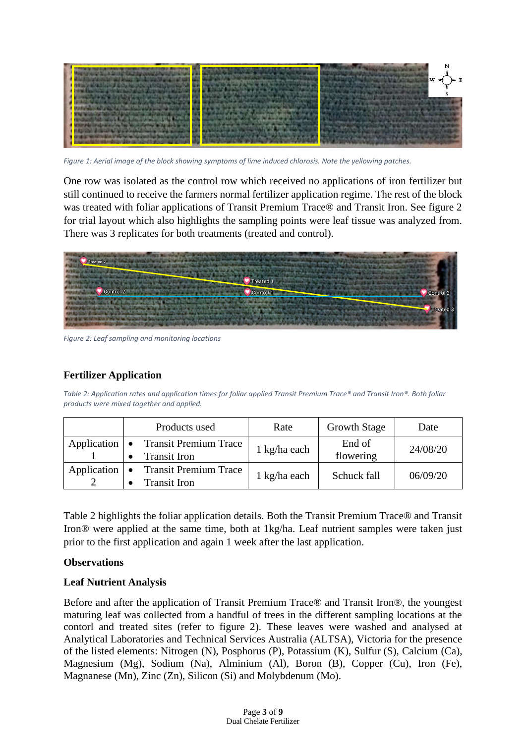

*Figure 1: Aerial image of the block showing symptoms of lime induced chlorosis. Note the yellowing patches.*

One row was isolated as the control row which received no applications of iron fertilizer but still continued to receive the farmers normal fertilizer application regime. The rest of the block was treated with foliar applications of Transit Premium Trace® and Transit Iron. See figure 2 for trial layout which also highlights the sampling points were leaf tissue was analyzed from. There was 3 replicates for both treatments (treated and control).



*Figure 2: Leaf sampling and monitoring locations*

## **Fertilizer Application**

*Table 2: Application rates and application times for foliar applied Transit Premium Trace® and Transit Iron®. Both foliar products were mixed together and applied.*

| Products used                                                | Rate                   | <b>Growth Stage</b> | Date     |
|--------------------------------------------------------------|------------------------|---------------------|----------|
| Application   • Transit Premium Trace<br><b>Transit Iron</b> | $1 \text{ kg/ha}$ each | End of<br>flowering | 24/08/20 |
| Application   • Transit Premium Trace<br><b>Transit Iron</b> | 1 kg/ha each           | Schuck fall         | 06/09/20 |

Table 2 highlights the foliar application details. Both the Transit Premium Trace® and Transit Iron® were applied at the same time, both at 1kg/ha. Leaf nutrient samples were taken just prior to the first application and again 1 week after the last application.

#### **Observations**

#### **Leaf Nutrient Analysis**

Before and after the application of Transit Premium Trace® and Transit Iron®, the youngest maturing leaf was collected from a handful of trees in the different sampling locations at the contorl and treated sites (refer to figure 2). These leaves were washed and analysed at Analytical Laboratories and Technical Services Australia (ALTSA), Victoria for the presence of the listed elements: Nitrogen (N), Posphorus (P), Potassium (K), Sulfur (S), Calcium (Ca), Magnesium (Mg), Sodium (Na), Alminium (Al), Boron (B), Copper (Cu), Iron (Fe), Magnanese (Mn), Zinc (Zn), Silicon (Si) and Molybdenum (Mo).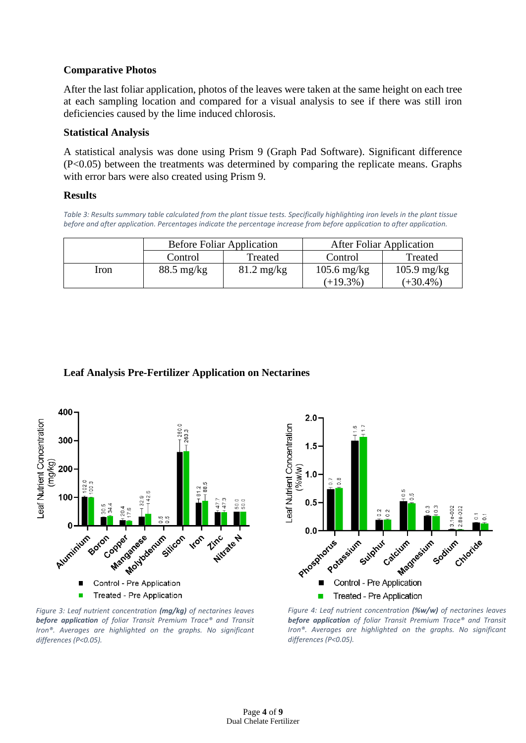#### **Comparative Photos**

After the last foliar application, photos of the leaves were taken at the same height on each tree at each sampling location and compared for a visual analysis to see if there was still iron deficiencies caused by the lime induced chlorosis.

#### **Statistical Analysis**

A statistical analysis was done using Prism 9 (Graph Pad Software). Significant difference (P<0.05) between the treatments was determined by comparing the replicate means. Graphs with error bars were also created using Prism 9.

#### **Results**

*Table 3: Results summary table calculated from the plant tissue tests. Specifically highlighting iron levels in the plant tissue before and after application. Percentages indicate the percentage increase from before application to after application.*

|      | <b>Before Foliar Application</b> |                      | <b>After Foliar Application</b> |                       |  |
|------|----------------------------------|----------------------|---------------------------------|-----------------------|--|
|      | Control                          | Treated              | Control                         | Treated               |  |
| Iron | $88.5 \text{ mg/kg}$             | $81.2 \text{ mg/kg}$ | $105.6$ mg/kg                   | $105.9 \text{ mg/kg}$ |  |
|      |                                  |                      | $(+19.3\%)$                     | $(+30.4\%)$           |  |

## **Leaf Analysis Pre-Fertilizer Application on Nectarines**



*Figure 3: Leaf nutrient concentration (mg/kg) of nectarines leaves before application of foliar Transit Premium Trace® and Transit Iron®. Averages are highlighted on the graphs. No significant differences (P<0.05).*



*Figure 4: Leaf nutrient concentration (%w/w) of nectarines leaves before application of foliar Transit Premium Trace® and Transit Iron®. Averages are highlighted on the graphs. No significant differences (P<0.05).*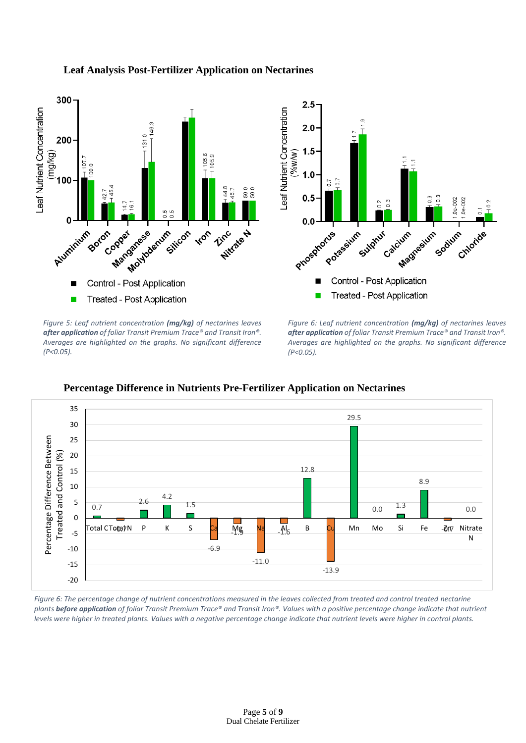## **Leaf Analysis Post-Fertilizer Application on Nectarines**



*Figure 5: Leaf nutrient concentration (mg/kg) of nectarines leaves after application of foliar Transit Premium Trace® and Transit Iron®. Averages are highlighted on the graphs. No significant difference (P<0.05).*

*Figure 6: Leaf nutrient concentration (mg/kg) of nectarines leaves after application of foliar Transit Premium Trace® and Transit Iron®. Averages are highlighted on the graphs. No significant difference (P<0.05).*



**Percentage Difference in Nutrients Pre-Fertilizer Application on Nectarines**

*Figure 6: The percentage change of nutrient concentrations measured in the leaves collected from treated and control treated nectarine plants before application of foliar Transit Premium Trace® and Transit Iron®. Values with a positive percentage change indicate that nutrient levels were higher in treated plants. Values with a negative percentage change indicate that nutrient levels were higher in control plants.*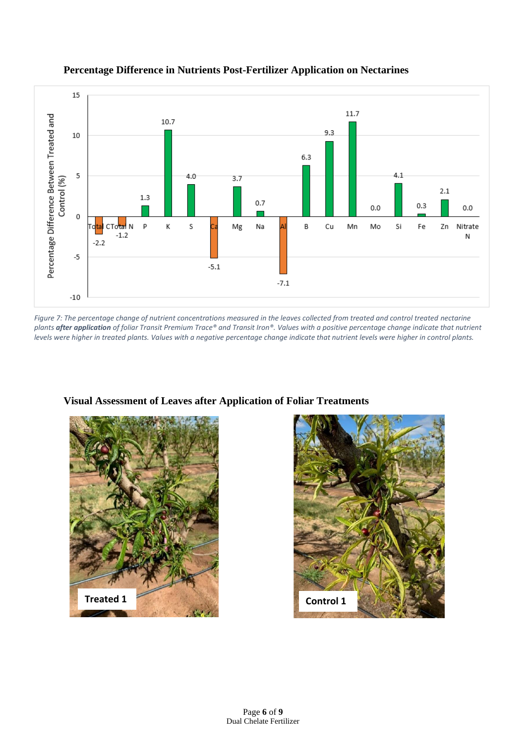

#### **Percentage Difference in Nutrients Post-Fertilizer Application on Nectarines**

*Figure 7: The percentage change of nutrient concentrations measured in the leaves collected from treated and control treated nectarine plants after application of foliar Transit Premium Trace® and Transit Iron®. Values with a positive percentage change indicate that nutrient levels were higher in treated plants. Values with a negative percentage change indicate that nutrient levels were higher in control plants.*



**Visual Assessment of Leaves after Application of Foliar Treatments** 

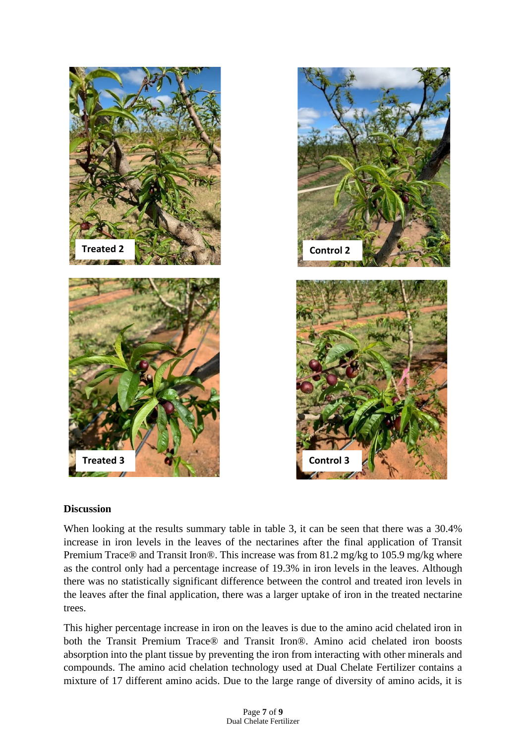

#### **Discussion**

When looking at the results summary table in table 3, it can be seen that there was a 30.4% increase in iron levels in the leaves of the nectarines after the final application of Transit Premium Trace® and Transit Iron®. This increase was from 81.2 mg/kg to 105.9 mg/kg where as the control only had a percentage increase of 19.3% in iron levels in the leaves. Although there was no statistically significant difference between the control and treated iron levels in the leaves after the final application, there was a larger uptake of iron in the treated nectarine trees.

This higher percentage increase in iron on the leaves is due to the amino acid chelated iron in both the Transit Premium Trace® and Transit Iron®. Amino acid chelated iron boosts absorption into the plant tissue by preventing the iron from interacting with other minerals and compounds. The amino acid chelation technology used at Dual Chelate Fertilizer contains a mixture of 17 different amino acids. Due to the large range of diversity of amino acids, it is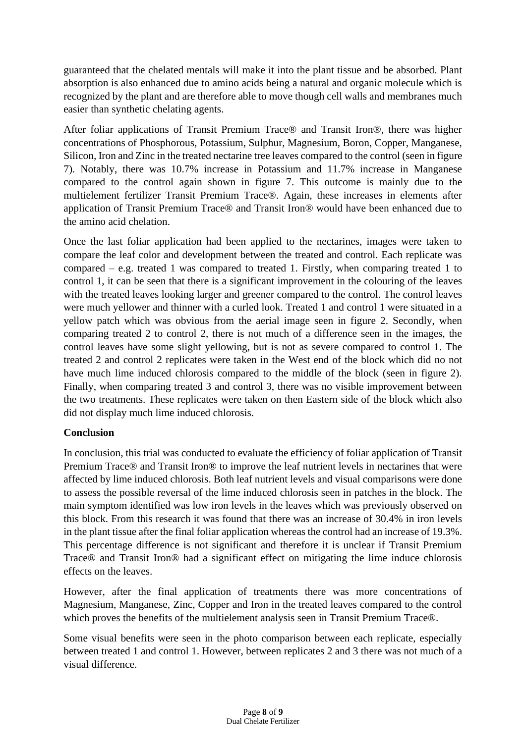guaranteed that the chelated mentals will make it into the plant tissue and be absorbed. Plant absorption is also enhanced due to amino acids being a natural and organic molecule which is recognized by the plant and are therefore able to move though cell walls and membranes much easier than synthetic chelating agents.

After foliar applications of Transit Premium Trace® and Transit Iron®, there was higher concentrations of Phosphorous, Potassium, Sulphur, Magnesium, Boron, Copper, Manganese, Silicon, Iron and Zinc in the treated nectarine tree leaves compared to the control (seen in figure 7). Notably, there was 10.7% increase in Potassium and 11.7% increase in Manganese compared to the control again shown in figure 7. This outcome is mainly due to the multielement fertilizer Transit Premium Trace®. Again, these increases in elements after application of Transit Premium Trace® and Transit Iron® would have been enhanced due to the amino acid chelation.

Once the last foliar application had been applied to the nectarines, images were taken to compare the leaf color and development between the treated and control. Each replicate was compared – e.g. treated 1 was compared to treated 1. Firstly, when comparing treated 1 to control 1, it can be seen that there is a significant improvement in the colouring of the leaves with the treated leaves looking larger and greener compared to the control. The control leaves were much yellower and thinner with a curled look. Treated 1 and control 1 were situated in a yellow patch which was obvious from the aerial image seen in figure 2. Secondly, when comparing treated 2 to control 2, there is not much of a difference seen in the images, the control leaves have some slight yellowing, but is not as severe compared to control 1. The treated 2 and control 2 replicates were taken in the West end of the block which did no not have much lime induced chlorosis compared to the middle of the block (seen in figure 2). Finally, when comparing treated 3 and control 3, there was no visible improvement between the two treatments. These replicates were taken on then Eastern side of the block which also did not display much lime induced chlorosis.

# **Conclusion**

In conclusion, this trial was conducted to evaluate the efficiency of foliar application of Transit Premium Trace® and Transit Iron® to improve the leaf nutrient levels in nectarines that were affected by lime induced chlorosis. Both leaf nutrient levels and visual comparisons were done to assess the possible reversal of the lime induced chlorosis seen in patches in the block. The main symptom identified was low iron levels in the leaves which was previously observed on this block. From this research it was found that there was an increase of 30.4% in iron levels in the plant tissue after the final foliar application whereas the control had an increase of 19.3%. This percentage difference is not significant and therefore it is unclear if Transit Premium Trace® and Transit Iron® had a significant effect on mitigating the lime induce chlorosis effects on the leaves.

However, after the final application of treatments there was more concentrations of Magnesium, Manganese, Zinc, Copper and Iron in the treated leaves compared to the control which proves the benefits of the multielement analysis seen in Transit Premium Trace®.

Some visual benefits were seen in the photo comparison between each replicate, especially between treated 1 and control 1. However, between replicates 2 and 3 there was not much of a visual difference.